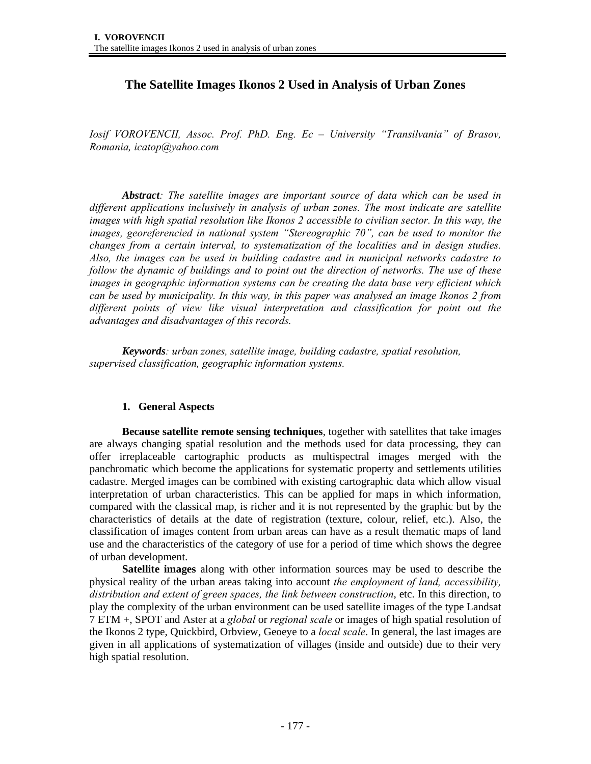# **The Satellite Images Ikonos 2 Used in Analysis of Urban Zones**

*Iosif VOROVENCII, Assoc. Prof. PhD. Eng. Ec – University "Transilvania" of Brasov, Romania, icatop@yahoo.com* 

*Abstract: The satellite images are important source of data which can be used in different applications inclusively in analysis of urban zones. The most indicate are satellite images with high spatial resolution like Ikonos 2 accessible to civilian sector. In this way, the images, georeferencied in national system "Stereographic 70", can be used to monitor the changes from a certain interval, to systematization of the localities and in design studies. Also, the images can be used in building cadastre and in municipal networks cadastre to follow the dynamic of buildings and to point out the direction of networks. The use of these images in geographic information systems can be creating the data base very efficient which can be used by municipality. In this way, in this paper was analysed an image Ikonos 2 from different points of view like visual interpretation and classification for point out the advantages and disadvantages of this records.* 

*Keywords: urban zones, satellite image, building cadastre, spatial resolution, supervised classification, geographic information systems.* 

### **1. General Aspects**

**Because satellite remote sensing techniques**, together with satellites that take images are always changing spatial resolution and the methods used for data processing, they can offer irreplaceable cartographic products as multispectral images merged with the panchromatic which become the applications for systematic property and settlements utilities cadastre. Merged images can be combined with existing cartographic data which allow visual interpretation of urban characteristics. This can be applied for maps in which information, compared with the classical map, is richer and it is not represented by the graphic but by the characteristics of details at the date of registration (texture, colour, relief, etc.). Also, the classification of images content from urban areas can have as a result thematic maps of land use and the characteristics of the category of use for a period of time which shows the degree of urban development.

**Satellite images** along with other information sources may be used to describe the physical reality of the urban areas taking into account *the employment of land, accessibility, distribution and extent of green spaces, the link between construction*, etc. In this direction, to play the complexity of the urban environment can be used satellite images of the type Landsat 7 ETM +, SPOT and Aster at a *global* or *regional scale* or images of high spatial resolution of the Ikonos 2 type, Quickbird, Orbview, Geoeye to a *local scale*. In general, the last images are given in all applications of systematization of villages (inside and outside) due to their very high spatial resolution.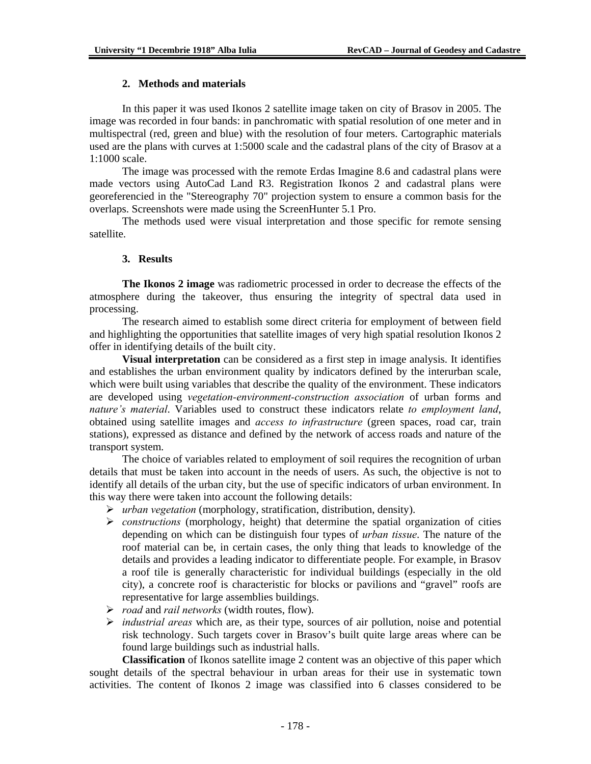### **2. Methods and materials**

In this paper it was used Ikonos 2 satellite image taken on city of Brasov in 2005. The image was recorded in four bands: in panchromatic with spatial resolution of one meter and in multispectral (red, green and blue) with the resolution of four meters. Cartographic materials used are the plans with curves at 1:5000 scale and the cadastral plans of the city of Brasov at a 1:1000 scale.

The image was processed with the remote Erdas Imagine 8.6 and cadastral plans were made vectors using AutoCad Land R3. Registration Ikonos 2 and cadastral plans were georeferencied in the "Stereography 70" projection system to ensure a common basis for the overlaps. Screenshots were made using the ScreenHunter 5.1 Pro.

The methods used were visual interpretation and those specific for remote sensing satellite.

### **3. Results**

**The Ikonos 2 image** was radiometric processed in order to decrease the effects of the atmosphere during the takeover, thus ensuring the integrity of spectral data used in processing.

The research aimed to establish some direct criteria for employment of between field and highlighting the opportunities that satellite images of very high spatial resolution Ikonos 2 offer in identifying details of the built city.

**Visual interpretation** can be considered as a first step in image analysis. It identifies and establishes the urban environment quality by indicators defined by the interurban scale, which were built using variables that describe the quality of the environment. These indicators are developed using *vegetation-environment-construction association* of urban forms and *nature's material*. Variables used to construct these indicators relate *to employment land*, obtained using satellite images and *access to infrastructure* (green spaces, road car, train stations), expressed as distance and defined by the network of access roads and nature of the transport system.

The choice of variables related to employment of soil requires the recognition of urban details that must be taken into account in the needs of users. As such, the objective is not to identify all details of the urban city, but the use of specific indicators of urban environment. In this way there were taken into account the following details:

- ¾ *urban vegetation* (morphology, stratification, distribution, density).
- ¾ *constructions* (morphology, height) that determine the spatial organization of cities depending on which can be distinguish four types of *urban tissue*. The nature of the roof material can be, in certain cases, the only thing that leads to knowledge of the details and provides a leading indicator to differentiate people. For example, in Brasov a roof tile is generally characteristic for individual buildings (especially in the old city), a concrete roof is characteristic for blocks or pavilions and "gravel" roofs are representative for large assemblies buildings.
- ¾ *road* and *rail networks* (width routes, flow).
- ¾ *industrial areas* which are, as their type, sources of air pollution, noise and potential risk technology. Such targets cover in Brasov's built quite large areas where can be found large buildings such as industrial halls.

**Classification** of Ikonos satellite image 2 content was an objective of this paper which sought details of the spectral behaviour in urban areas for their use in systematic town activities. The content of Ikonos 2 image was classified into 6 classes considered to be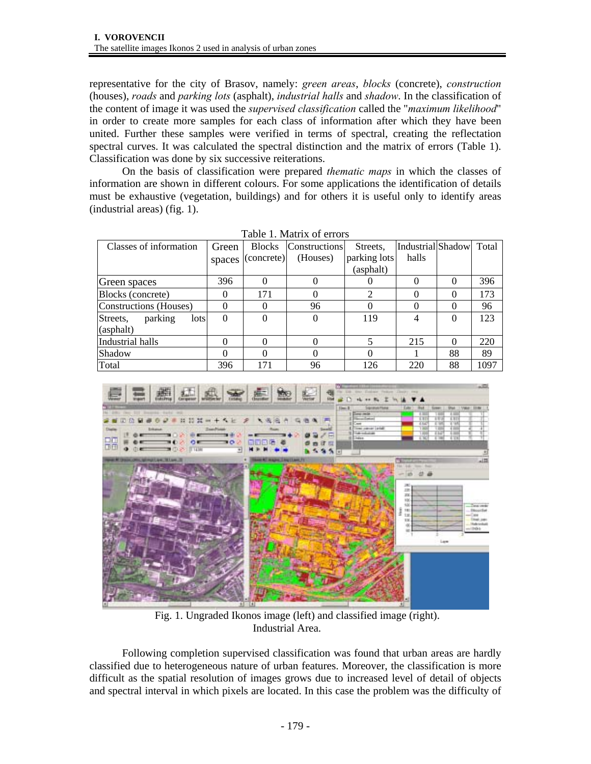representative for the city of Brasov, namely: *green areas*, *blocks* (concrete), *construction* (houses), *roads* and *parking lots* (asphalt), *industrial halls* and *shadow*. In the classification of the content of image it was used the *supervised classification* called the "*maximum likelihood*" in order to create more samples for each class of information after which they have been united. Further these samples were verified in terms of spectral, creating the reflectation spectral curves. It was calculated the spectral distinction and the matrix of errors (Table 1). Classification was done by six successive reiterations.

On the basis of classification were prepared *thematic maps* in which the classes of information are shown in different colours. For some applications the identification of details must be exhaustive (vegetation, buildings) and for others it is useful only to identify areas (industrial areas) (fig. 1).

| Classes of information      | Green    | <b>Blocks</b> | <b>Constructions</b> | Streets.     | Industrial Shadow Total |          |      |
|-----------------------------|----------|---------------|----------------------|--------------|-------------------------|----------|------|
|                             | spaces   | (concrete)    | (Houses)             | parking lots | halls                   |          |      |
|                             |          |               |                      | (asphalt)    |                         |          |      |
| Green spaces                | 396      | 0             | 0                    | U            |                         |          | 396  |
| Blocks (concrete)           | $\theta$ | 171           | $\Omega$             | ി            |                         | $\Omega$ | 173  |
| Constructions (Houses)      |          | 0             | 96                   | $\Omega$     |                         |          | 96   |
| parking<br>Streets,<br>lots | $\Omega$ | 0             | $\Omega$             | 119          | 4                       | $\Omega$ | 123  |
| (asphalt)                   |          |               |                      |              |                         |          |      |
| Industrial halls            |          | 0             | $\Omega$             | 5            | 215                     | $\Omega$ | 220  |
| Shadow                      |          | 0             | $\Omega$             | 0            |                         | 88       | 89   |
| Total                       | 396      | 171           | 96                   | 126          | 220                     | 88       | 1097 |

Table 1. Matrix of errors



Fig. 1. Ungraded Ikonos image (left) and classified image (right). Industrial Area.

Following completion supervised classification was found that urban areas are hardly classified due to heterogeneous nature of urban features. Moreover, the classification is more difficult as the spatial resolution of images grows due to increased level of detail of objects and spectral interval in which pixels are located. In this case the problem was the difficulty of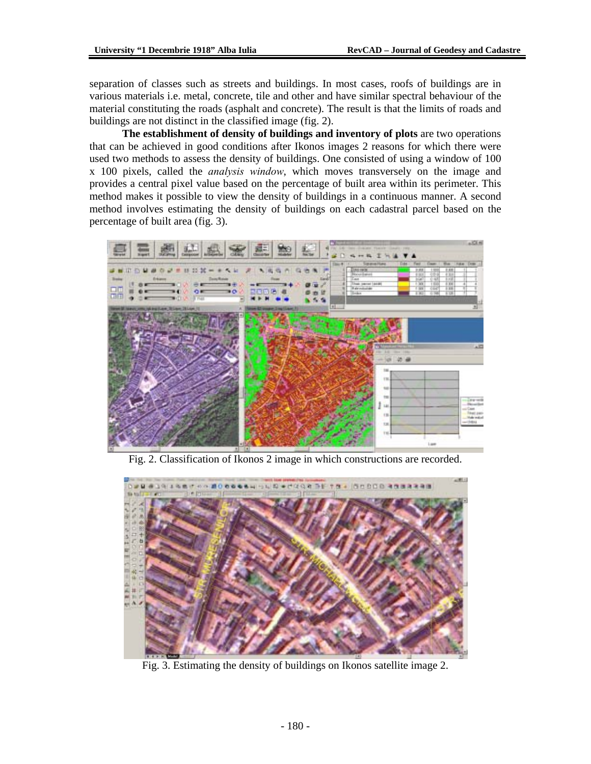separation of classes such as streets and buildings. In most cases, roofs of buildings are in various materials i.e. metal, concrete, tile and other and have similar spectral behaviour of the material constituting the roads (asphalt and concrete). The result is that the limits of roads and buildings are not distinct in the classified image (fig. 2).

**The establishment of density of buildings and inventory of plots** are two operations that can be achieved in good conditions after Ikonos images 2 reasons for which there were used two methods to assess the density of buildings. One consisted of using a window of 100 x 100 pixels, called the *analysis window*, which moves transversely on the image and provides a central pixel value based on the percentage of built area within its perimeter. This method makes it possible to view the density of buildings in a continuous manner. A second method involves estimating the density of buildings on each cadastral parcel based on the percentage of built area (fig. 3).



Fig. 2. Classification of Ikonos 2 image in which constructions are recorded.



Fig. 3. Estimating the density of buildings on Ikonos satellite image 2.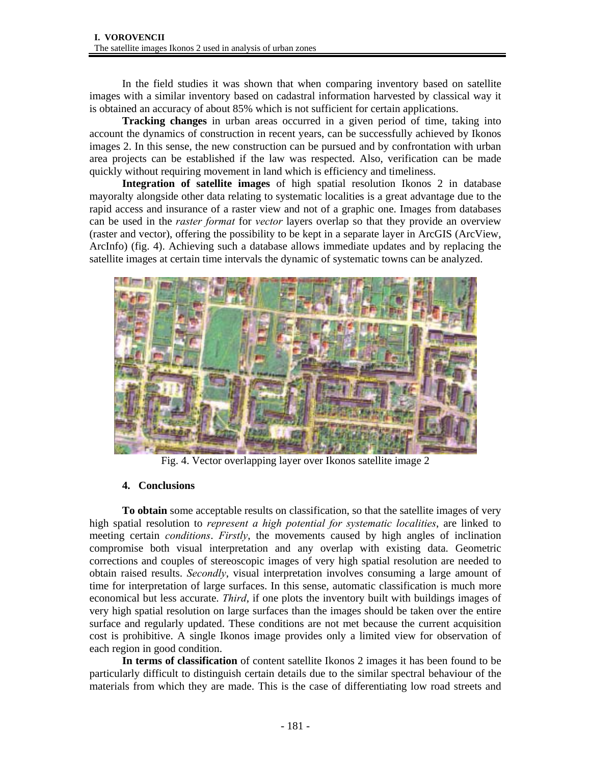In the field studies it was shown that when comparing inventory based on satellite images with a similar inventory based on cadastral information harvested by classical way it is obtained an accuracy of about 85% which is not sufficient for certain applications.

**Tracking changes** in urban areas occurred in a given period of time, taking into account the dynamics of construction in recent years, can be successfully achieved by Ikonos images 2. In this sense, the new construction can be pursued and by confrontation with urban area projects can be established if the law was respected. Also, verification can be made quickly without requiring movement in land which is efficiency and timeliness.

**Integration of satellite images** of high spatial resolution Ikonos 2 in database mayoralty alongside other data relating to systematic localities is a great advantage due to the rapid access and insurance of a raster view and not of a graphic one. Images from databases can be used in the *raster format* for *vector* layers overlap so that they provide an overview (raster and vector), offering the possibility to be kept in a separate layer in ArcGIS (ArcView, ArcInfo) (fig. 4). Achieving such a database allows immediate updates and by replacing the satellite images at certain time intervals the dynamic of systematic towns can be analyzed.



Fig. 4. Vector overlapping layer over Ikonos satellite image 2

## **4. Conclusions**

**To obtain** some acceptable results on classification, so that the satellite images of very high spatial resolution to *represent a high potential for systematic localities*, are linked to meeting certain *conditions*. *Firstly*, the movements caused by high angles of inclination compromise both visual interpretation and any overlap with existing data. Geometric corrections and couples of stereoscopic images of very high spatial resolution are needed to obtain raised results. *Secondly*, visual interpretation involves consuming a large amount of time for interpretation of large surfaces. In this sense, automatic classification is much more economical but less accurate. *Third*, if one plots the inventory built with buildings images of very high spatial resolution on large surfaces than the images should be taken over the entire surface and regularly updated. These conditions are not met because the current acquisition cost is prohibitive. A single Ikonos image provides only a limited view for observation of each region in good condition.

**In terms of classification** of content satellite Ikonos 2 images it has been found to be particularly difficult to distinguish certain details due to the similar spectral behaviour of the materials from which they are made. This is the case of differentiating low road streets and